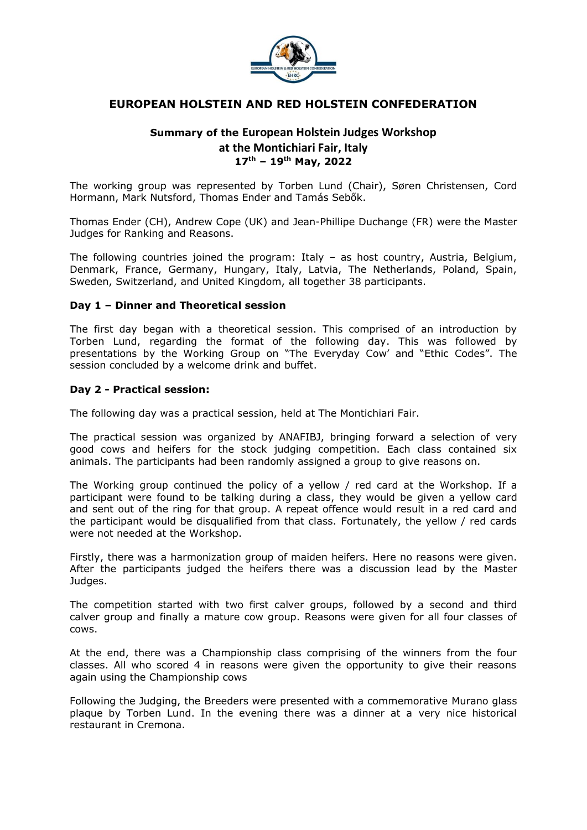

## **EUROPEAN HOLSTEIN AND RED HOLSTEIN CONFEDERATION**

# **Summary of the European Holstein Judges Workshop at the Montichiari Fair, Italy 17 th – 19 th May, 2022**

The working group was represented by Torben Lund (Chair), Søren Christensen, Cord Hormann, Mark Nutsford, Thomas Ender and Tamás Sebők.

Thomas Ender (CH), Andrew Cope (UK) and Jean-Phillipe Duchange (FR) were the Master Judges for Ranking and Reasons.

The following countries joined the program: Italy  $-$  as host country, Austria, Belgium, Denmark, France, Germany, Hungary, Italy, Latvia, The Netherlands, Poland, Spain, Sweden, Switzerland, and United Kingdom, all together 38 participants.

#### **Day 1 – Dinner and Theoretical session**

The first day began with a theoretical session. This comprised of an introduction by Torben Lund, regarding the format of the following day. This was followed by presentations by the Working Group on "The Everyday Cow' and "Ethic Codes". The session concluded by a welcome drink and buffet.

#### **Day 2 - Practical session:**

The following day was a practical session, held at The Montichiari Fair.

The practical session was organized by ANAFIBJ, bringing forward a selection of very good cows and heifers for the stock judging competition. Each class contained six animals. The participants had been randomly assigned a group to give reasons on.

The Working group continued the policy of a yellow / red card at the Workshop. If a participant were found to be talking during a class, they would be given a yellow card and sent out of the ring for that group. A repeat offence would result in a red card and the participant would be disqualified from that class. Fortunately, the yellow / red cards were not needed at the Workshop.

Firstly, there was a harmonization group of maiden heifers. Here no reasons were given. After the participants judged the heifers there was a discussion lead by the Master Judges.

The competition started with two first calver groups, followed by a second and third calver group and finally a mature cow group. Reasons were given for all four classes of cows.

At the end, there was a Championship class comprising of the winners from the four classes. All who scored 4 in reasons were given the opportunity to give their reasons again using the Championship cows

Following the Judging, the Breeders were presented with a commemorative Murano glass plaque by Torben Lund. In the evening there was a dinner at a very nice historical restaurant in Cremona.